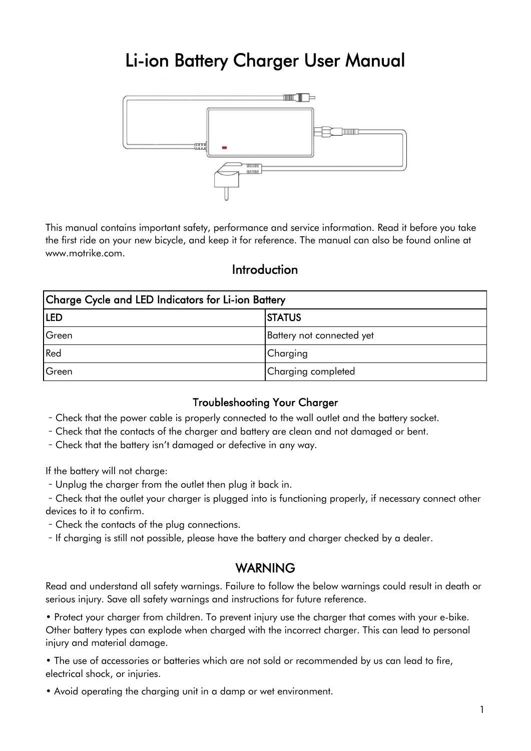## Li-ion Battery Charger User Manual



This manual contains important safety, performance and service information. Read it before you take the first ride on your new bicycle, and keep it for reference. The manual can also be found online at www.motrike.com.

## Introduction

| Charge Cycle and LED Indicators for Li-ion Battery |                           |
|----------------------------------------------------|---------------------------|
| <b>ILED</b>                                        | <b>STATUS</b>             |
| Green                                              | Battery not connected yet |
| Red                                                | Charging                  |
| Green                                              | Charging completed        |

## Troubleshooting Your Charger

- Check that the power cable is properly connected to the wall outlet and the battery socket.

- Check that the contacts of the charger and battery are clean and not damaged or bent.
- Check that the battery isn't damaged or defective in any way.

If the battery will not charge:

- Unplug the charger from the outlet then plug it back in.

- Check that the outlet your charger is plugged into is functioning properly, if necessary connect other devices to it to confirm.

- Check the contacts of the plug connections.
- If charging is still not possible, please have the battery and charger checked by a dealer.

## WARNING

Read and understand all safety warnings. Failure to follow the below warnings could result in death or serious injury. Save all safety warnings and instructions for future reference.

• Protect your charger from children. To prevent injury use the charger that comes with your e-bike. Other battery types can explode when charged with the incorrect charger. This can lead to personal injury and material damage.

• The use of accessories or batteries which are not sold or recommended by us can lead to fire, electrical shock, or injuries.

• Avoid operating the charging unit in a damp or wet environment.